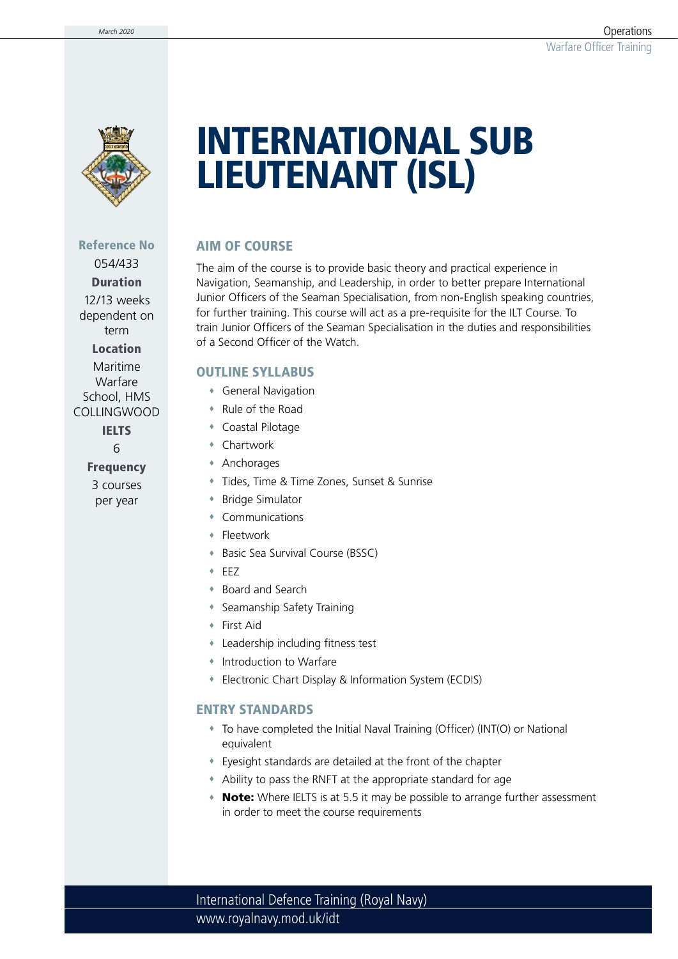

# INTERNATIONAL SUB LIEUTENANT (ISL)

## AIM OF COURSE

The aim of the course is to provide basic theory and practical experience in Navigation, Seamanship, and Leadership, in order to better prepare International Junior Officers of the Seaman Specialisation, from non-English speaking countries, for further training. This course will act as a pre-requisite for the ILT Course. To train Junior Officers of the Seaman Specialisation in the duties and responsibilities of a Second Officer of the Watch.

## OUTLINE SYLLABUS

- General Navigation
- Rule of the Road
- Coastal Pilotage
- Chartwork
- Anchorages
- Tides, Time & Time Zones, Sunset & Sunrise
- Bridge Simulator
- Communications
- **\*** Fleetwork
- Basic Sea Survival Course (BSSC)
- EEZ
- Board and Search
- Seamanship Safety Training
- First Aid
- Leadership including fitness test
- Introduction to Warfare
- Electronic Chart Display & Information System (ECDIS)

## ENTRY STANDARDS

- To have completed the Initial Naval Training (Officer) (INT(O) or National equivalent
- Eyesight standards are detailed at the front of the chapter
- Ability to pass the RNFT at the appropriate standard for age
- Note: Where IELTS is at 5.5 it may be possible to arrange further assessment in order to meet the course requirements

www.royalnavy.mod.uk/idt International Defence Training (Royal Navy)

Reference No 054/433

Duration 12/13 weeks dependent on term Location

Maritime Warfare School, HMS COLLINGWOOD IELTS

6

Frequency 3 courses per year